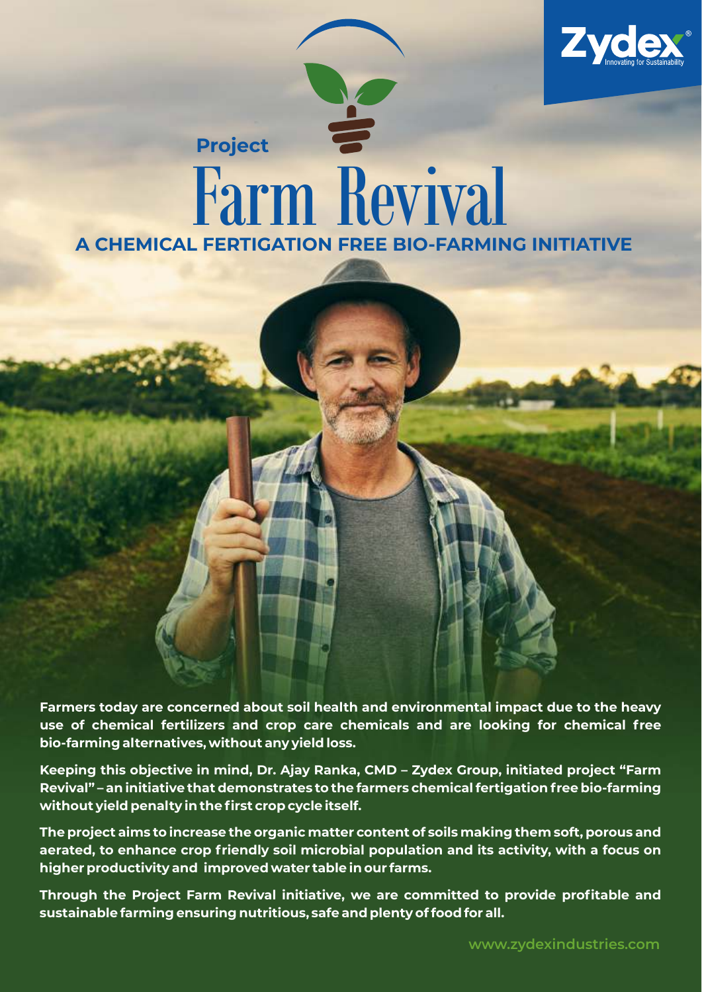

# **A CHEMICAL FERTIGATION FREE BIO-FARMING INITIATIVE** Farm Revival **Project**

**Farmers today are concerned about soil health and environmental impact due to the heavy use of chemical fertilizers and crop care chemicals and are looking for chemical free bio-farming alternatives, without any yield loss.** 

**Keeping this objective in mind, Dr. Ajay Ranka, CMD – Zydex Group, initiated project "Farm Revival" – an initiative that demonstrates to the farmers chemical fertigation free bio-farming without yield penalty in the first crop cycle itself.** 

**The project aims to increase the organic matter content of soils making them soft, porous and aerated, to enhance crop friendly soil microbial population and its activity, with a focus on higher productivity and improved water table in our farms.**

**Through the Project Farm Revival initiative, we are committed to provide profitable and sustainable farming ensuring nutritious, safe and plenty of food for all.**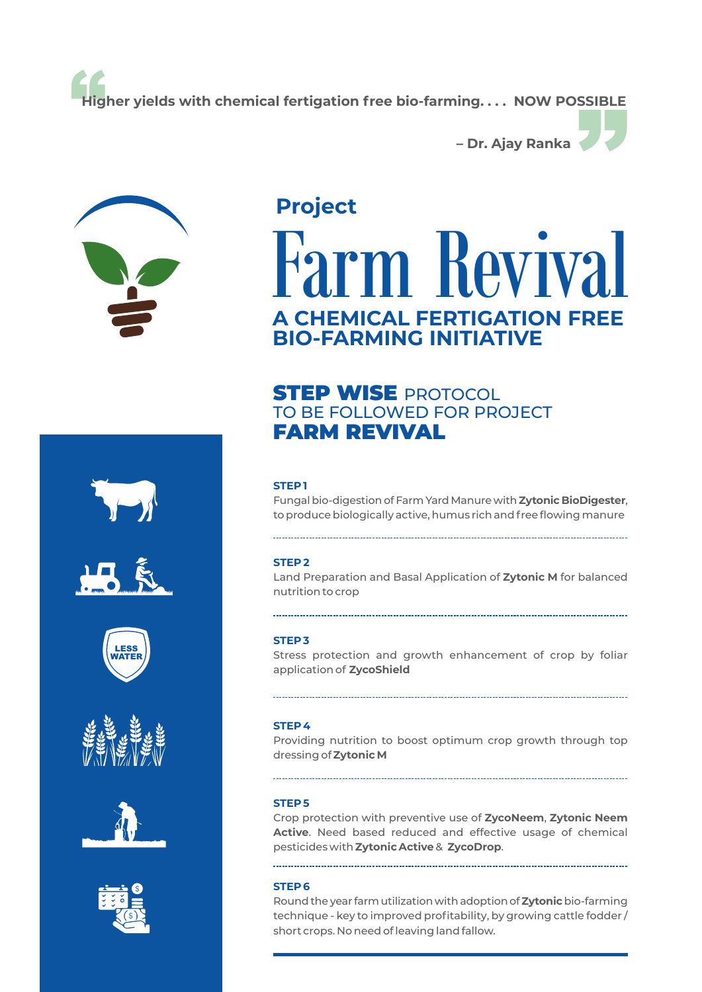**Higher yields with chemical fertigation free bio-farming. . . . NOW POSSIBLE**



## **Project**

# **KAVIV A CHEMICAL FERTIGATION FREE BIO-FARMING INITIATIVE**

**– Dr. Ajay Ranka**

### **STEP WISE PROTOCOL** TO BE FOLLOWED FOR PROJECT FARM REVIVAL

#### **STEP 1**

Fungalbio-digestionof FarmYard Manure with**Zytonic BioDigester**, to produce biologically active, humus rich and free flowing manure

#### **STEP 2**

Land Preparation and Basal Application of **Zytonic M** for balanced nutrition to crop

#### **STEP 3**

Stress protection and growth enhancement of crop by foliar application of **ZycoShield**

#### **STEP 4**

Providing nutrition to boost optimum crop growth through top dressing of **Zytonic M**

#### **STEP 5**

Crop protection with preventive use of **ZycoNeem**, **Zytonic Neem Active**. Need based reduced and effective usage of chemical pesticides with **Zytonic Active**& **ZycoDrop**.

#### **STEP 6**

Roundthe year farmutilization withadoptionof**Zytonic**bio-farming technique - key to improved profitability, by growing cattle fodder / short crops. No need of leaving land fallow.











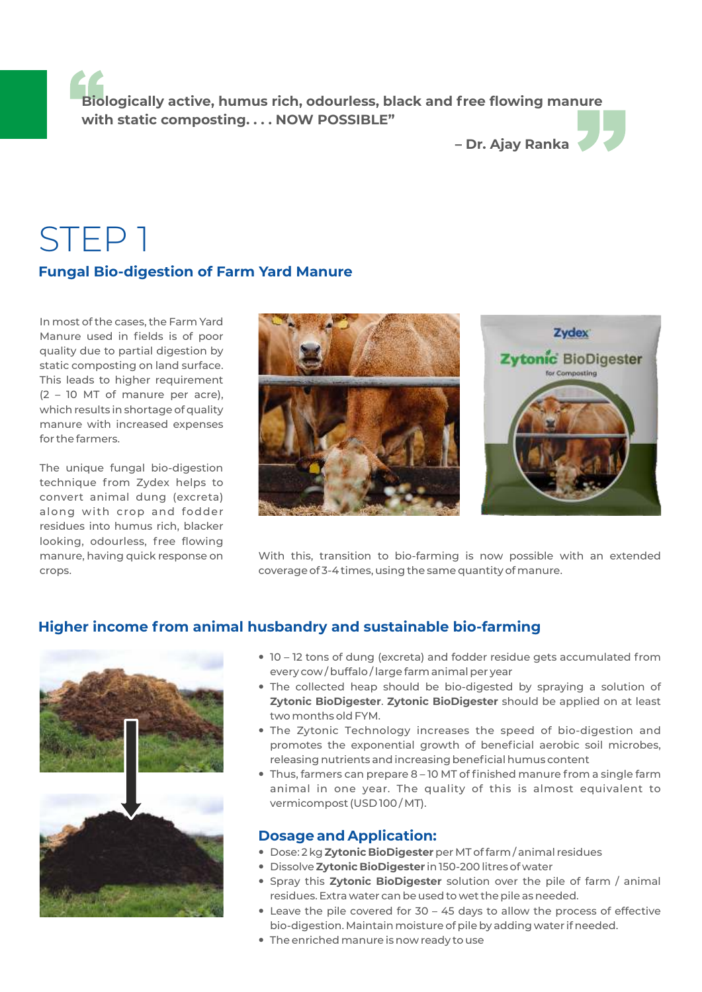**Biologically active, humus rich, odourless, black and free flowing manure with static composting. . . . NOW POSSIBLE"**

**– Dr. Ajay Ranka**

## STEP 1

#### **Fungal Bio-digestion of Farm Yard Manure**

In most of the cases, the Farm Yard Manure used in fields is of poor quality due to partial digestion by static composting on land surface. This leads to higher requirement (2 – 10 MT of manure per acre), which results in shortage of quality manure with increased expenses for the farmers.

The unique fungal bio-digestion technique from Zydex helps to convert animal dung (excreta) along with crop and fodder residues into humus rich, blacker looking, odourless, free flowing manure, having quick response on crops.



With this, transition to bio-farming is now possible with an extended coverage of 3-4 times, using the same quantity of manure.

#### **Higher income from animal husbandry and sustainable bio-farming**



- 10 12 tons of dung (excreta) and fodder residue gets accumulated from every cow / buffalo / large farm animal per year
- The collected heap should be bio-digested by spraying a solution of **Zytonic BioDigester**. **Zytonic BioDigester** should be applied on at least two months old FYM.
- The Zytonic Technology increases the speed of bio-digestion and promotes the exponential growth of beneficial aerobic soil microbes, releasing nutrients and increasing beneficial humus content
- Thus, farmers can prepare 8 10 MT of finished manure from a single farm animal in one year. The quality of this is almost equivalent to vermicompost (USD 100 / MT).

#### **Dosage and Application:**

- Dose: 2 kg **Zytonic BioDigester**per MT of farm / animal residues
- Dissolve **Zytonic BioDigester** in 150-200 litres of water
- Spray this **Zytonic BioDigester** solution over the pile of farm / animal residues. Extra water can be used to wet the pile as needed.
- Leave the pile covered for 30 45 days to allow the process of effective bio-digestion. Maintain moisture of pile by adding water if needed.
- The enriched manure is now ready to use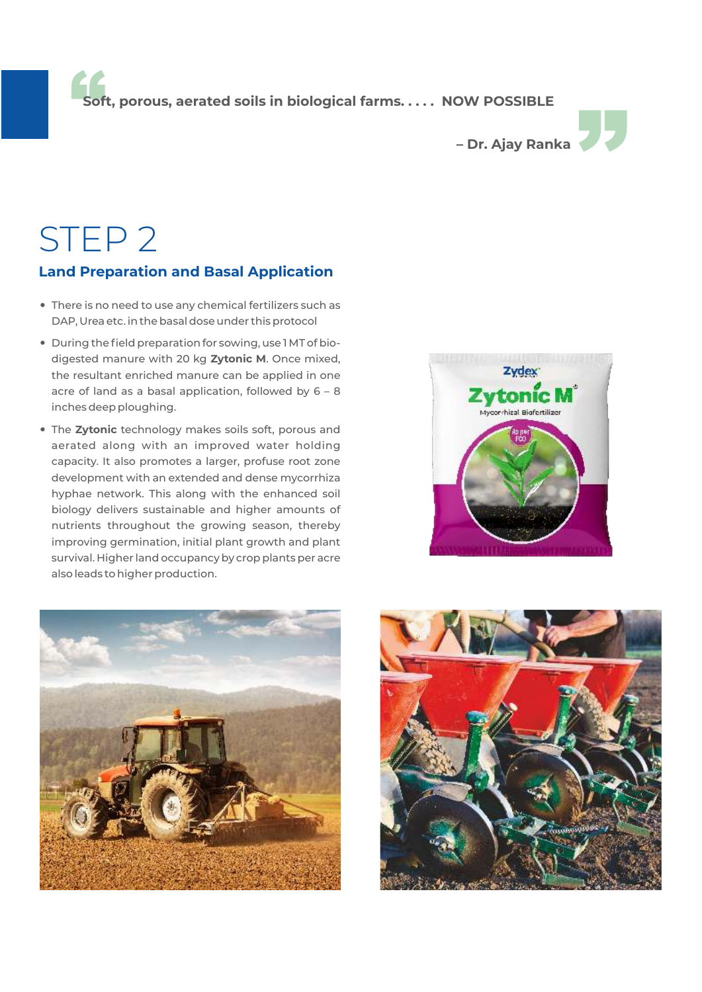**Soft, porous, aerated soils in biological farms. . . . . NOW POSSIBLE**



# STEP 2

#### **Land Preparation and Basal Application**

- There is no need to use any chemical fertilizers such as DAP, Urea etc. in the basal dose under this protocol
- During the field preparation for sowing, use 1 MT of biodigested manure with 20 kg **Zytonic M**. Once mixed, the resultant enriched manure can be applied in one acre of land as a basal application, followed by 6 – 8 inches deep ploughing.
- The **Zytonic** technology makes soils soft, porous and aerated along with an improved water holding capacity. It also promotes a larger, profuse root zone development with an extended and dense mycorrhiza hyphae network. This along with the enhanced soil biology delivers sustainable and higher amounts of nutrients throughout the growing season, thereby improving germination, initial plant growth and plant survival. Higher land occupancy by crop plants per acre also leads to higher production.





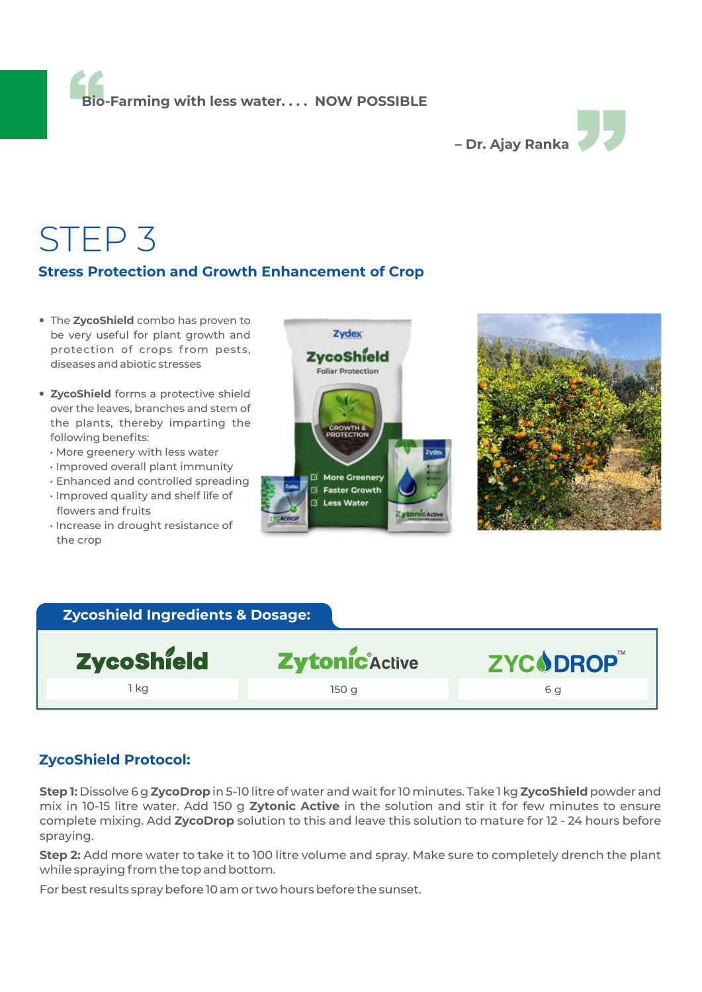**Bio-Farming with less water. . . . NOW POSSIBLE**



## STEP 3

#### **Stress Protection and Growth Enhancement of Crop**

- The **ZycoShield** combo has proven to be very useful for plant growth and protection of crops from pests, diseases and abiotic stresses
- **ZycoShield** forms a protective shield over the leaves, branches and stem of the plants, thereby imparting the following benefits:
	- More greenery with less water
	- Improved overall plant immunity
	- Enhanced and controlled spreading
	- Improved quality and shelf life of flowers and fruits
	- Increase in drought resistance of the crop





#### **Zycoshield Ingredients & Dosage:**

| ZycoShield | Zytonic Active | ZYCODROP" |
|------------|----------------|-----------|
| 1 ka       | 150 g          | 6 a       |
|            |                |           |

#### **ZycoShield Protocol:**

**Step 1:** Dissolve 6 g **ZycoDrop** in 5-10 litre of water and wait for 10 minutes. Take 1 kg **ZycoShield** powder and mix in 10-15 litre water. Add 150 g **Zytonic Active** in the solution and stir it for few minutes to ensure complete mixing. Add **ZycoDrop** solution to this and leave this solution to mature for 12 - 24 hours before spraying.

**Step 2:** Add more water to take it to 100 litre volume and spray. Make sure to completely drench the plant while spraying from the top and bottom.

For best results spray before 10 am or two hours before the sunset.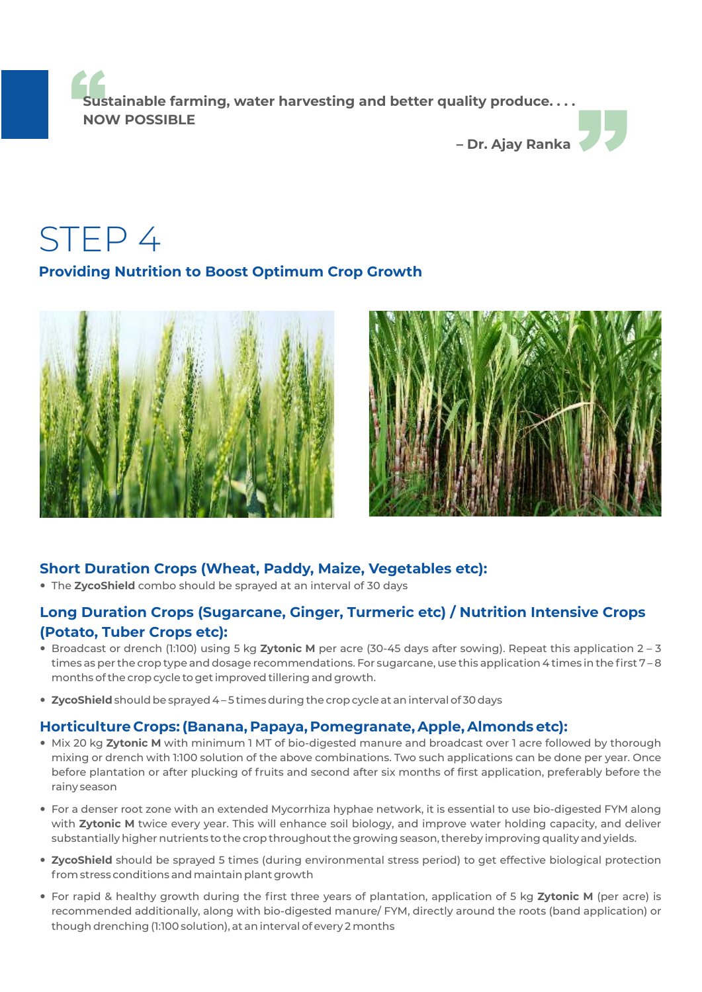**Sustainable farming, water harvesting and better quality produce. . . . NOW POSSIBLE**



STEP 4

#### **Providing Nutrition to Boost Optimum Crop Growth**





#### **Short Duration Crops (Wheat, Paddy, Maize, Vegetables etc):**

— The **ZycoShield** combo should be sprayed at an interval of 30 days

#### **Long Duration Crops (Sugarcane, Ginger, Turmeric etc) / Nutrition Intensive Crops (Potato, Tuber Crops etc):**

- Broadcast or drench (1:100) using 5 kg **Zytonic M** per acre (30-45 days after sowing). Repeat this application 2 3 times as per the crop type and dosage recommendations. For sugarcane, use this application 4 times in the first 7-8 months of the crop cycle to get improved tillering and growth.
- **ZycoShield** should be sprayed 4 5 times during the crop cycle at an interval of 30 days

#### **Horticulture Crops: (Banana, Papaya, Pomegranate, Apple, Almonds etc):**

- Mix 20 kg **Zytonic M** with minimum 1 MT of bio-digested manure and broadcast over 1 acre followed by thorough mixing or drench with 1:100 solution of the above combinations. Two such applications can be done per year. Once before plantation or after plucking of fruits and second after six months of first application, preferably before the rainy season
- For a denser root zone with an extended Mycorrhiza hyphae network, it is essential to use bio-digested FYM along with **Zytonic M** twice every year. This will enhance soil biology, and improve water holding capacity, and deliver substantially higher nutrients to the crop throughout the growing season, thereby improving quality and yields.
- **ZycoShield** should be sprayed 5 times (during environmental stress period) to get effective biological protection from stress conditions and maintain plant growth
- For rapid & healthy growth during the first three years of plantation, application of 5 kg **Zytonic M** (per acre) is recommended additionally, along with bio-digested manure/ FYM, directly around the roots (band application) or though drenching (1:100 solution), at an interval of every 2 months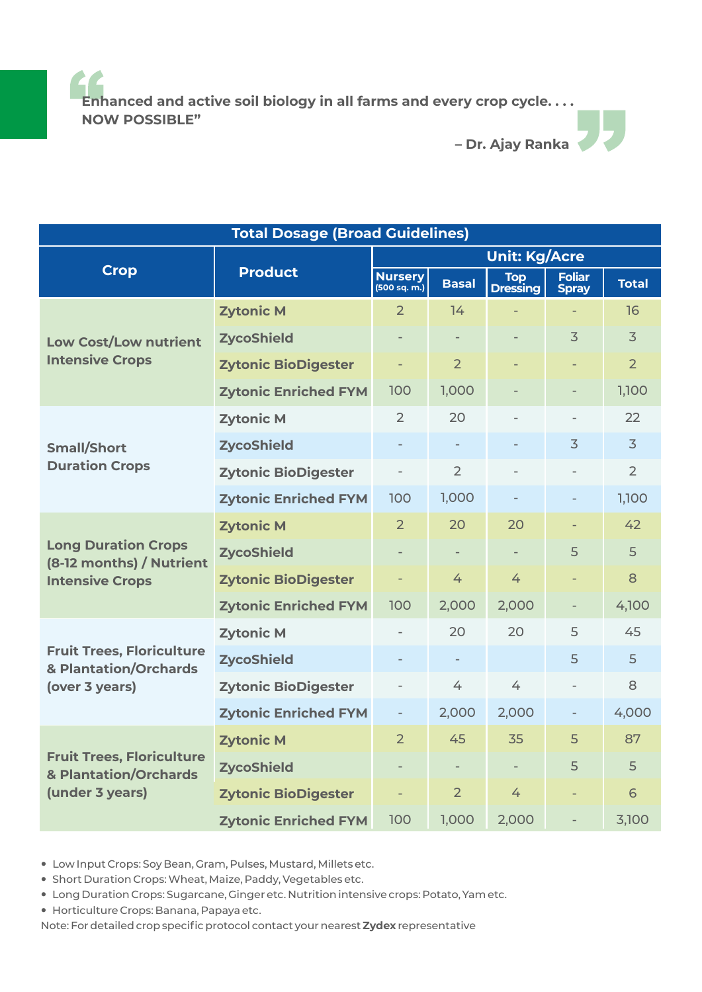**Enhanced and active soil biology in all farms and every crop cycle. . . . NOW POSSIBLE"**

**– Dr. Ajay Ranka**

| <b>Total Dosage (Broad Guidelines)</b>                                           |                             |                                |                          |                          |                               |                |  |  |
|----------------------------------------------------------------------------------|-----------------------------|--------------------------------|--------------------------|--------------------------|-------------------------------|----------------|--|--|
|                                                                                  | <b>Product</b>              | <b>Unit: Kg/Acre</b>           |                          |                          |                               |                |  |  |
| <b>Crop</b>                                                                      |                             | <b>Nursery</b><br>(500 sq. m.) | <b>Basal</b>             | Top<br>Dressing          | <b>Foliar</b><br><b>Spray</b> | <b>Total</b>   |  |  |
| <b>Low Cost/Low nutrient</b><br><b>Intensive Crops</b>                           | <b>Zytonic M</b>            | $\overline{2}$                 | 14                       |                          |                               | 16             |  |  |
|                                                                                  | <b>ZycoShield</b>           |                                |                          |                          | 3                             | $\overline{3}$ |  |  |
|                                                                                  | <b>Zytonic BioDigester</b>  | ÷,                             | 2 <sup>1</sup>           |                          |                               | $\overline{2}$ |  |  |
|                                                                                  | <b>Zytonic Enriched FYM</b> | 100                            | 1,000                    |                          |                               | 1,100          |  |  |
| <b>Small/Short</b><br><b>Duration Crops</b>                                      | <b>Zytonic M</b>            | $\overline{2}$                 | 20                       |                          |                               | 22             |  |  |
|                                                                                  | <b>ZycoShield</b>           |                                |                          |                          | $\overline{3}$                | $\overline{3}$ |  |  |
|                                                                                  | <b>Zytonic BioDigester</b>  | $\overline{\phantom{0}}$       | $\overline{2}$           |                          |                               | $\overline{2}$ |  |  |
|                                                                                  | <b>Zytonic Enriched FYM</b> | 100                            | 1,000                    |                          |                               | 1,100          |  |  |
| <b>Long Duration Crops</b><br>(8-12 months) / Nutrient<br><b>Intensive Crops</b> | <b>Zytonic M</b>            | $\overline{2}$                 | 20                       | 20                       |                               | 42             |  |  |
|                                                                                  | <b>ZycoShield</b>           |                                | $\overline{\phantom{a}}$ | $\overline{\phantom{0}}$ | 5                             | 5              |  |  |
|                                                                                  | <b>Zytonic BioDigester</b>  | ÷,                             | 4                        | 4                        |                               | 8              |  |  |
|                                                                                  | <b>Zytonic Enriched FYM</b> | 100                            | 2,000                    | 2,000                    | $\overline{\phantom{a}}$      | 4,100          |  |  |
| <b>Fruit Trees, Floriculture</b><br>& Plantation/Orchards<br>(over 3 years)      | <b>Zytonic M</b>            |                                | 20                       | 20                       | 5                             | 45             |  |  |
|                                                                                  | <b>ZycoShield</b>           |                                |                          |                          | 5                             | 5              |  |  |
|                                                                                  | <b>Zytonic BioDigester</b>  | $\overline{\phantom{0}}$       | 4                        | 4                        | $\overline{\phantom{a}}$      | 8              |  |  |
|                                                                                  | <b>Zytonic Enriched FYM</b> | $\overline{\phantom{0}}$       | 2,000                    | 2,000                    |                               | 4,000          |  |  |
| <b>Fruit Trees, Floriculture</b><br>& Plantation/Orchards<br>(under 3 years)     | <b>Zytonic M</b>            | $\overline{2}$                 | 45                       | 35                       | 5                             | 87             |  |  |
|                                                                                  | <b>ZycoShield</b>           | $\qquad \qquad -$              | $\overline{\phantom{a}}$ | $\overline{\phantom{a}}$ | 5                             | 5              |  |  |
|                                                                                  | <b>Zytonic BioDigester</b>  | $\overline{a}$                 | $\overline{2}$           | 4                        |                               | 6              |  |  |
|                                                                                  | <b>Zytonic Enriched FYM</b> | 100                            | 1,000                    | 2,000                    |                               | 3,100          |  |  |

— Low Input Crops: Soy Bean, Gram, Pulses, Mustard, Millets etc.

— Short Duration Crops: Wheat, Maize, Paddy, Vegetables etc.

- Long Duration Crops: Sugarcane, Ginger etc. Nutrition intensive crops: Potato, Yam etc.
- Horticulture Crops: Banana, Papaya etc.

Note: For detailed crop specific protocol contact your nearest **Zydex** representative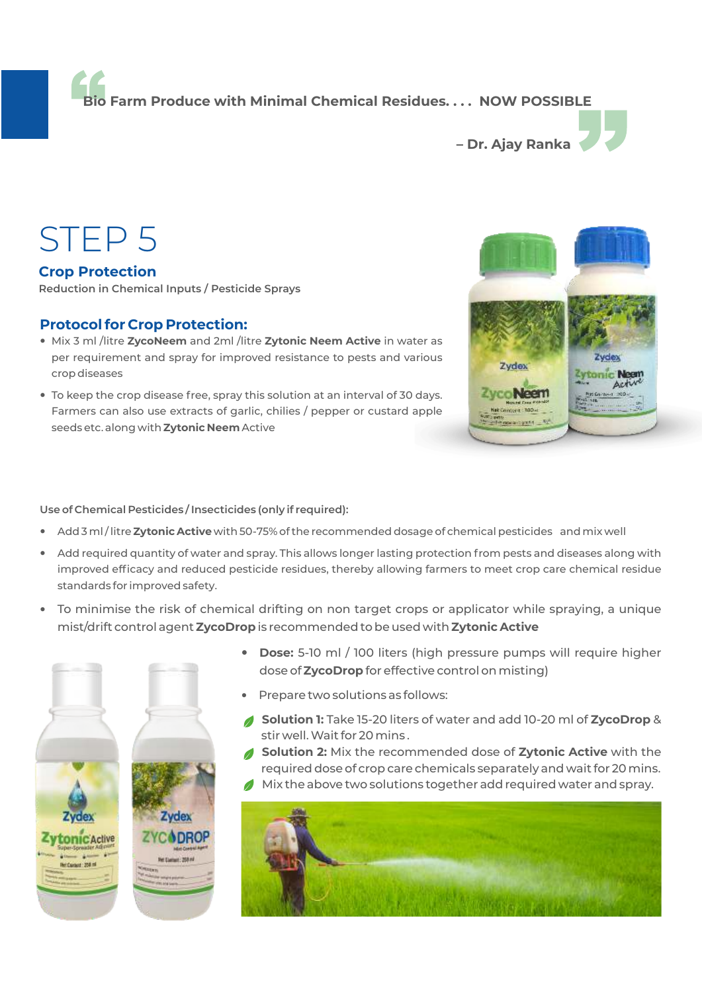**Bio Farm Produce with Minimal Chemical Residues. . . . NOW POSSIBLE**



## STEP 5

**Crop Protection Reduction in Chemical Inputs / Pesticide Sprays**

#### **Protocol for Crop Protection:**

- Mix 3 ml /litre **ZycoNeem** and 2ml /litre **Zytonic Neem Active** in water as per requirement and spray for improved resistance to pests and various crop diseases
- To keep the crop disease free, spray this solution at an interval of 30 days. Farmers can also use extracts of garlic, chilies / pepper or custard apple seeds etc. along with **Zytonic Neem**Active

# Zydex Zytonic Neem Zyco Neen

#### **Use of Chemical Pesticides / Insecticides (only if required):**

- Add 3 ml / litre **Zytonic Active** with 50-75% of the recommended dosage of chemical pesticides and mix well
- Add required quantity of water and spray. This allows longer lasting protection from pests and diseases along with improved efficacy and reduced pesticide residues, thereby allowing farmers to meet crop care chemical residue standards for improved safety.
- To minimise the risk of chemical drifting on non target crops or applicator while spraying, a unique mist/drift control agent **ZycoDrop** is recommended to be used with **Zytonic Active**



- **Dose:** 5-10 ml / 100 liters (high pressure pumps will require higher dose of **ZycoDrop** for effective control on misting)
- Prepare two solutions as follows:
- **Solution 1:** Take 15-20 liters of water and add 10-20 ml of **ZycoDrop** & stir well. Wait for 20 mins .
- **Solution 2:** Mix the recommended dose of **Zytonic Active** with the required dose of crop care chemicals separately and wait for 20 mins.
- Mix the above two solutions together add required water and spray.

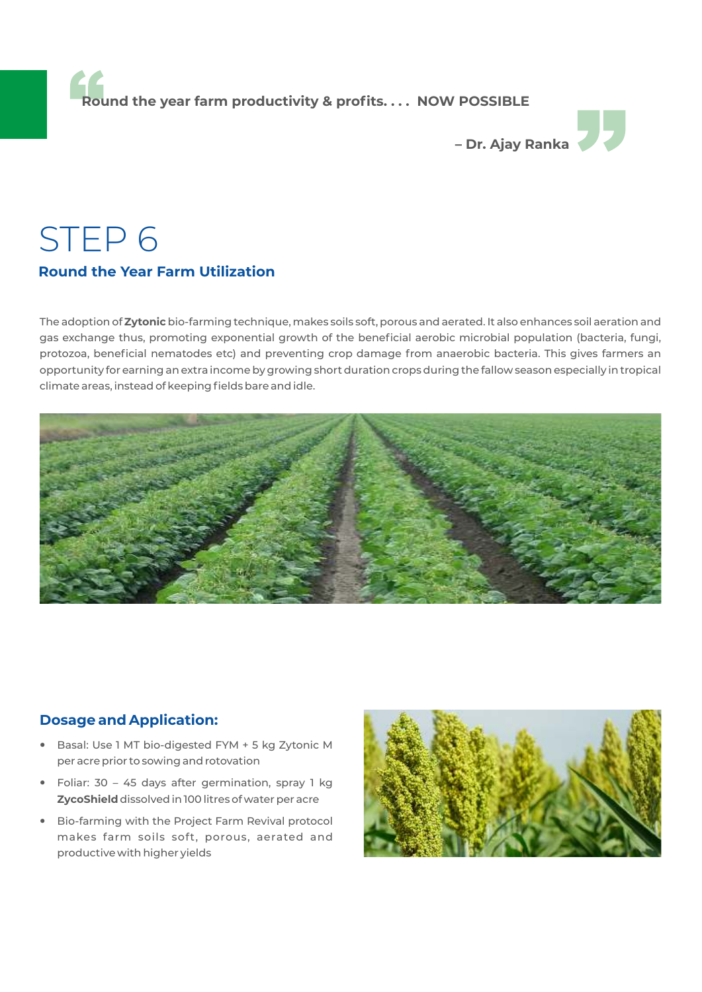**Round the year farm productivity & profits. . . . NOW POSSIBLE**



## STEP 6 **Round the Year Farm Utilization**

climate areas, instead of keeping fields bare and idle.

The adoption of **Zytonic**bio-farming technique, makes soils soft, porous and aerated. It also enhances soil aeration and gas exchange thus, promoting exponential growth of the beneficial aerobic microbial population (bacteria, fungi, protozoa, beneficial nematodes etc) and preventing crop damage from anaerobic bacteria. This gives farmers an opportunity for earning an extra income by growing short duration crops during the fallow season especially in tropical



#### **Dosage and Application:**

- Basal: Use 1 MT bio-digested FYM + 5 kg Zytonic M per acre prior to sowing and rotovation
- Foliar: 30 45 days after germination, spray 1 kg **ZycoShield** dissolved in 100 litres of water per acre
- Bio-farming with the Project Farm Revival protocol makes farm soils soft, porous, aerated and productive with higher yields